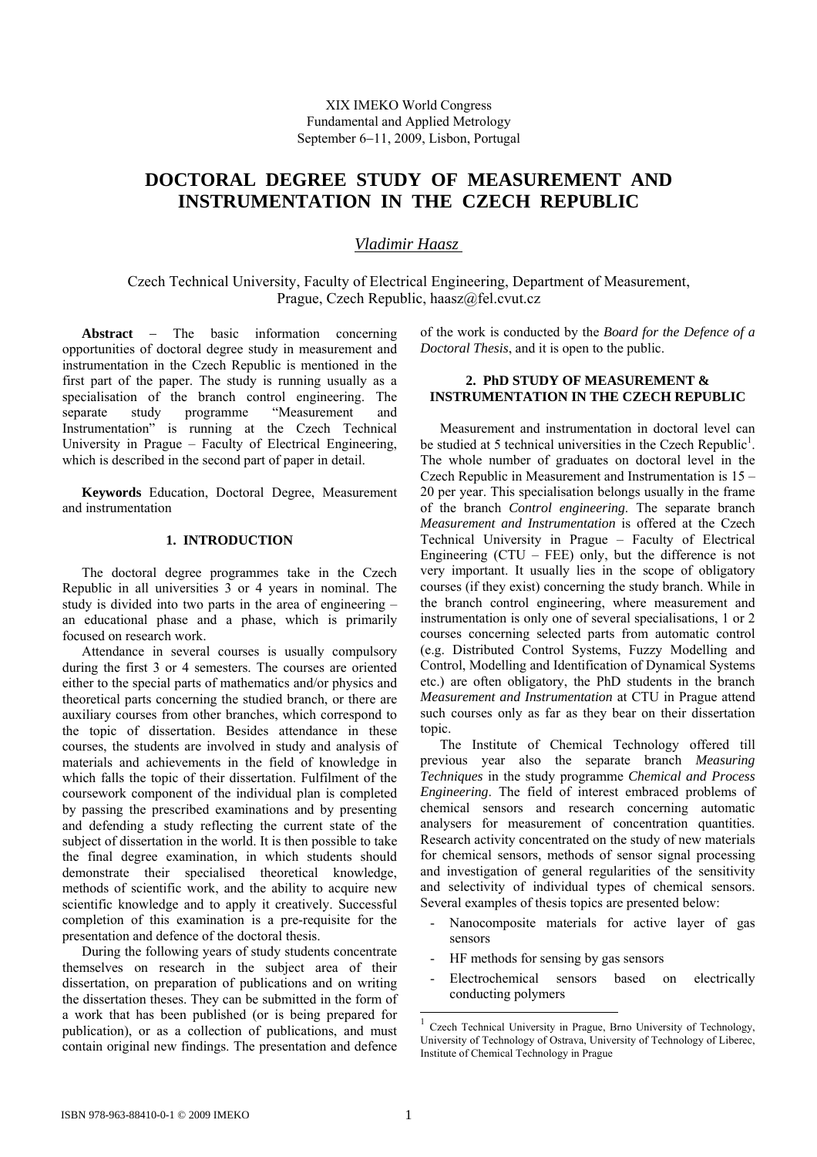# **DOCTORAL DEGREE STUDY OF MEASUREMENT AND INSTRUMENTATION IN THE CZECH REPUBLIC**

*Vladimir Haasz* 

Czech Technical University, Faculty of Electrical Engineering, Department of Measurement, Prague, Czech Republic, haasz@fel.cvut.cz

**Abstract** − The basic information concerning opportunities of doctoral degree study in measurement and instrumentation in the Czech Republic is mentioned in the first part of the paper. The study is running usually as a specialisation of the branch control engineering. The separate study programme "Measurement and Instrumentation" is running at the Czech Technical University in Prague – Faculty of Electrical Engineering, which is described in the second part of paper in detail.

**Keywords** Education, Doctoral Degree, Measurement and instrumentation

# **1. INTRODUCTION**

The doctoral degree programmes take in the Czech Republic in all universities 3 or 4 years in nominal. The study is divided into two parts in the area of engineering – an educational phase and a phase, which is primarily focused on research work.

Attendance in several courses is usually compulsory during the first 3 or 4 semesters. The courses are oriented either to the special parts of mathematics and/or physics and theoretical parts concerning the studied branch, or there are auxiliary courses from other branches, which correspond to the topic of dissertation. Besides attendance in these courses, the students are involved in study and analysis of materials and achievements in the field of knowledge in which falls the topic of their dissertation. Fulfilment of the coursework component of the individual plan is completed by passing the prescribed examinations and by presenting and defending a study reflecting the current state of the subject of dissertation in the world. It is then possible to take the final degree examination, in which students should demonstrate their specialised theoretical knowledge, methods of scientific work, and the ability to acquire new scientific knowledge and to apply it creatively. Successful completion of this examination is a pre-requisite for the presentation and defence of the doctoral thesis.

During the following years of study students concentrate themselves on research in the subject area of their dissertation, on preparation of publications and on writing the dissertation theses. They can be submitted in the form of a work that has been published (or is being prepared for publication), or as a collection of publications, and must contain original new findings. The presentation and defence

of the work is conducted by the *Board for the Defence of a Doctoral Thesis*, and it is open to the public.

### **2. PhD STUDY OF MEASUREMENT & INSTRUMENTATION IN THE CZECH REPUBLIC**

Measurement and instrumentation in doctoral level can be studied at 5 technical universities in the Czech Republic<sup>1</sup>. The whole number of graduates on doctoral level in the Czech Republic in Measurement and Instrumentation is 15 – 20 per year. This specialisation belongs usually in the frame of the branch *Control engineering*. The separate branch *Measurement and Instrumentation* is offered at the Czech Technical University in Prague – Faculty of Electrical Engineering  $(CTU - FEE)$  only, but the difference is not very important. It usually lies in the scope of obligatory courses (if they exist) concerning the study branch. While in the branch control engineering, where measurement and instrumentation is only one of several specialisations, 1 or 2 courses concerning selected parts from automatic control (e.g. Distributed Control Systems, Fuzzy Modelling and Control, Modelling and Identification of Dynamical Systems etc.) are often obligatory, the PhD students in the branch *Measurement and Instrumentation* at CTU in Prague attend such courses only as far as they bear on their dissertation topic.

The Institute of Chemical Technology offered till previous year also the separate branch *Measuring Techniques* in the study programme *Chemical and Process Engineering*. The field of interest embraced problems of chemical sensors and research concerning automatic analysers for measurement of concentration quantities. Research activity concentrated on the study of new materials for chemical sensors, methods of sensor signal processing and investigation of general regularities of the sensitivity and selectivity of individual types of chemical sensors. Several examples of thesis topics are presented below:

- Nanocomposite materials for active layer of gas sensors
- HF methods for sensing by gas sensors
- Electrochemical sensors based on electrically conducting polymers

l

<span id="page-0-0"></span><sup>1</sup> Czech Technical University in Prague, Brno University of Technology, University of Technology of Ostrava, University of Technology of Liberec, Institute of Chemical Technology in Prague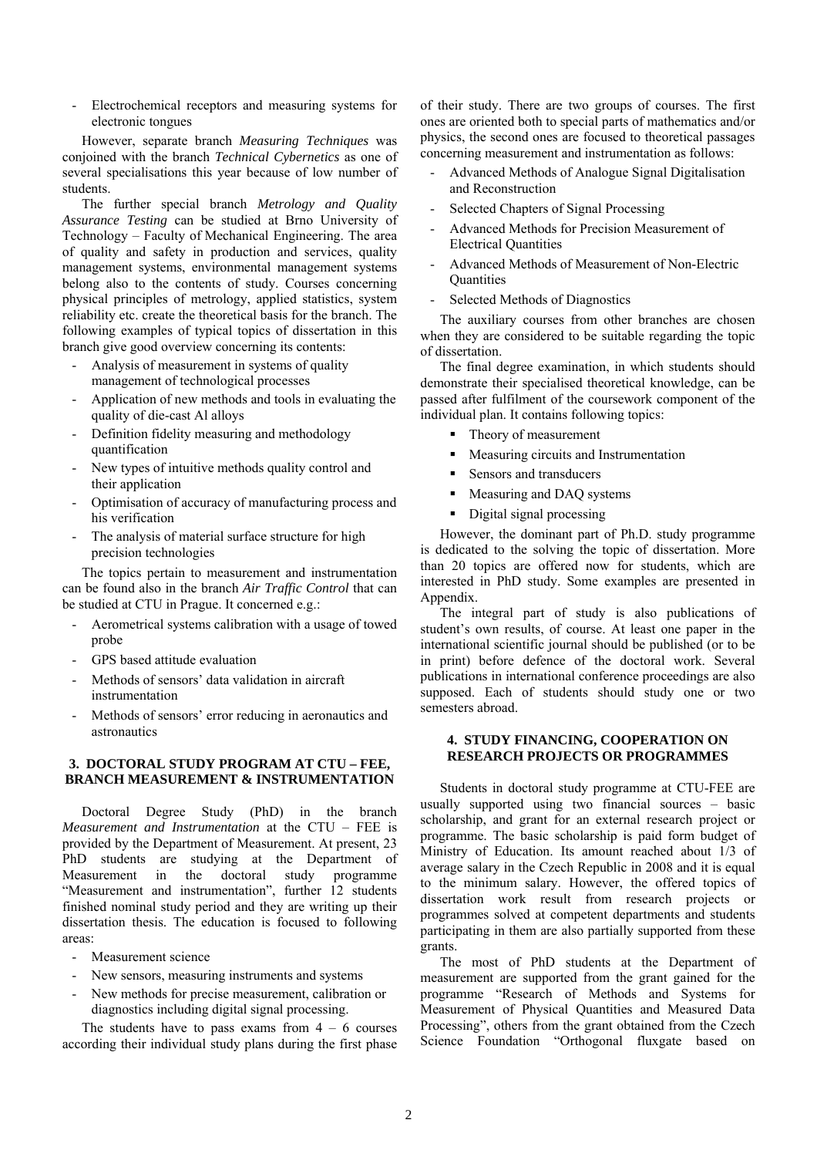- Electrochemical receptors and measuring systems for electronic tongues

However, separate branch *Measuring Techniques* was conjoined with the branch *Technical Cybernetics* as one of several specialisations this year because of low number of students.

The further special branch *Metrology and Quality Assurance Testing* can be studied at Brno University of Technology – Faculty of Mechanical Engineering. The area of quality and safety in production and services, quality management systems, environmental management systems belong also to the contents of study. Courses concerning physical principles of metrology, applied statistics, system reliability etc. create the theoretical basis for the branch. The following examples of typical topics of dissertation in this branch give good overview concerning its contents:

- Analysis of measurement in systems of quality management of technological processes
- Application of new methods and tools in evaluating the quality of die-cast Al alloys
- Definition fidelity measuring and methodology quantification
- New types of intuitive methods quality control and their application
- Optimisation of accuracy of manufacturing process and his verification
- The analysis of material surface structure for high precision technologies

The topics pertain to measurement and instrumentation can be found also in the branch *Air Traffic Control* that can be studied at CTU in Prague. It concerned e.g.:

- Aerometrical systems calibration with a usage of towed probe
- GPS based attitude evaluation
- Methods of sensors' data validation in aircraft instrumentation
- Methods of sensors' error reducing in aeronautics and astronautics

## **3. DOCTORAL STUDY PROGRAM AT CTU – FEE, BRANCH MEASUREMENT & INSTRUMENTATION**

Doctoral Degree Study (PhD) in the branch *Measurement and Instrumentation* at the CTU – FEE is provided by the Department of Measurement. At present, 23 PhD students are studying at the Department of Measurement in the doctoral study programme "Measurement and instrumentation", further 12 students finished nominal study period and they are writing up their dissertation thesis. The education is focused to following areas:

- Measurement science
- New sensors, measuring instruments and systems
- New methods for precise measurement, calibration or diagnostics including digital signal processing.

The students have to pass exams from  $4 - 6$  courses according their individual study plans during the first phase of their study. There are two groups of courses. The first ones are oriented both to special parts of mathematics and/or physics, the second ones are focused to theoretical passages concerning measurement and instrumentation as follows:

- Advanced Methods of Analogue Signal Digitalisation and Reconstruction
- Selected Chapters of Signal Processing
- Advanced Methods for Precision Measurement of Electrical Quantities
- Advanced Methods of Measurement of Non-Electric **Quantities**
- Selected Methods of Diagnostics

The auxiliary courses from other branches are chosen when they are considered to be suitable regarding the topic of dissertation.

The final degree examination, in which students should demonstrate their specialised theoretical knowledge, can be passed after fulfilment of the coursework component of the individual plan. It contains following topics:

- Theory of measurement
- Measuring circuits and Instrumentation
- Sensors and transducers
- Measuring and DAO systems
- Digital signal processing

However, the dominant part of Ph.D. study programme is dedicated to the solving the topic of dissertation. More than 20 topics are offered now for students, which are interested in PhD study. Some examples are presented in Appendix.

The integral part of study is also publications of student's own results, of course. At least one paper in the international scientific journal should be published (or to be in print) before defence of the doctoral work. Several publications in international conference proceedings are also supposed. Each of students should study one or two semesters abroad.

### **4. STUDY FINANCING, COOPERATION ON RESEARCH PROJECTS OR PROGRAMMES**

Students in doctoral study programme at CTU-FEE are usually supported using two financial sources – basic scholarship, and grant for an external research project or programme. The basic scholarship is paid form budget of Ministry of Education. Its amount reached about 1/3 of average salary in the Czech Republic in 2008 and it is equal to the minimum salary. However, the offered topics of dissertation work result from research projects or programmes solved at competent departments and students participating in them are also partially supported from these grants.

The most of PhD students at the Department of measurement are supported from the grant gained for the programme "Research of Methods and Systems for Measurement of Physical Quantities and Measured Data Processing", others from the grant obtained from the Czech Science Foundation "Orthogonal fluxgate based on